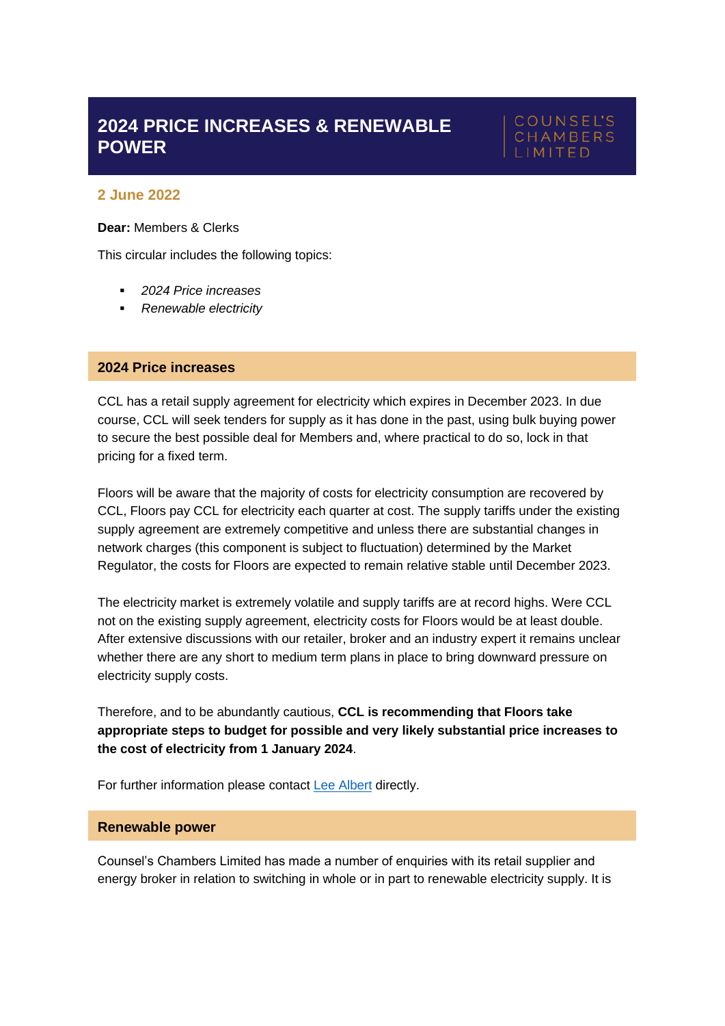# **2024 PRICE INCREASES & RENEWABLE POWER**

# **COUNSEL'S** CHAMBERS

## **2 June 2022**

#### **Dear:** Members & Clerks

This circular includes the following topics:

- *2024 Price increases*
- *Renewable electricity*

## **2024 Price increases**

CCL has a retail supply agreement for electricity which expires in December 2023. In due course, CCL will seek tenders for supply as it has done in the past, using bulk buying power to secure the best possible deal for Members and, where practical to do so, lock in that pricing for a fixed term.

Floors will be aware that the majority of costs for electricity consumption are recovered by CCL, Floors pay CCL for electricity each quarter at cost. The supply tariffs under the existing supply agreement are extremely competitive and unless there are substantial changes in network charges (this component is subject to fluctuation) determined by the Market Regulator, the costs for Floors are expected to remain relative stable until December 2023.

The electricity market is extremely volatile and supply tariffs are at record highs. Were CCL not on the existing supply agreement, electricity costs for Floors would be at least double. After extensive discussions with our retailer, broker and an industry expert it remains unclear whether there are any short to medium term plans in place to bring downward pressure on electricity supply costs.

Therefore, and to be abundantly cautious, **CCL is recommending that Floors take appropriate steps to budget for possible and very likely substantial price increases to the cost of electricity from 1 January 2024**.

For further information please contact [Lee Albert](mailto:lalbert@ccl.com.au?subject=2024%20Price%20increases%20to%20electricity%20supply) directly.

#### **Renewable power**

Counsel's Chambers Limited has made a number of enquiries with its retail supplier and energy broker in relation to switching in whole or in part to renewable electricity supply. It is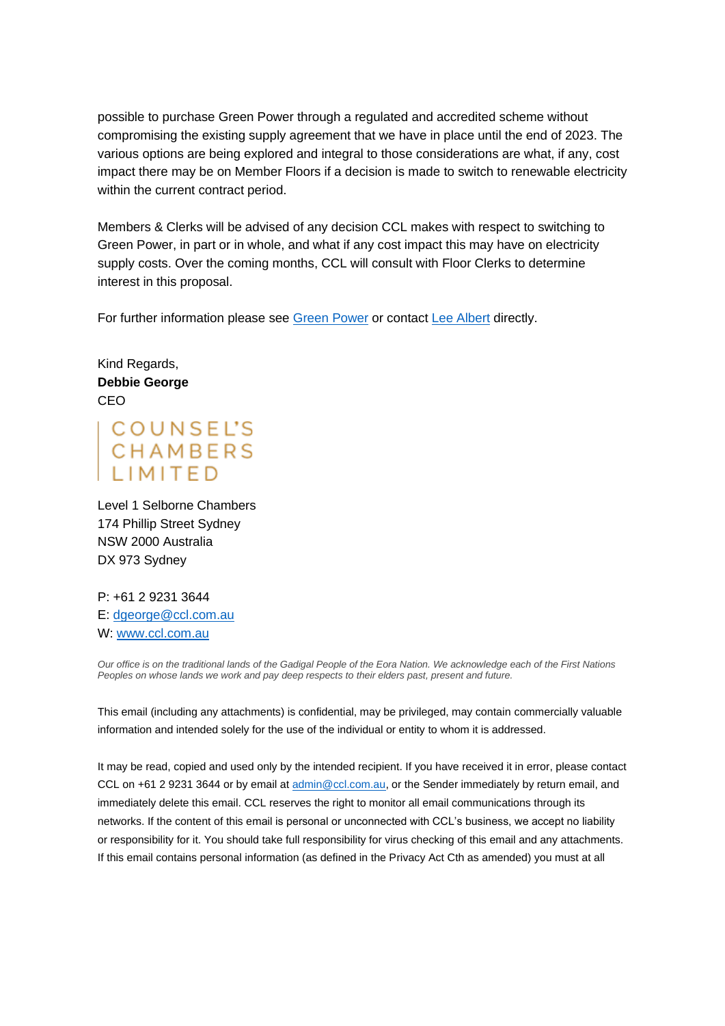possible to purchase Green Power through a regulated and accredited scheme without compromising the existing supply agreement that we have in place until the end of 2023. The various options are being explored and integral to those considerations are what, if any, cost impact there may be on Member Floors if a decision is made to switch to renewable electricity within the current contract period.

Members & Clerks will be advised of any decision CCL makes with respect to switching to Green Power, in part or in whole, and what if any cost impact this may have on electricity supply costs. Over the coming months, CCL will consult with Floor Clerks to determine interest in this proposal.

For further information please see [Green Power](https://www.greenpower.gov.au/) or contact [Lee Albert](mailto:lalbert@ccl.com.au?subject=Renewable%20electricity) directly.

Kind Regards, **Debbie George** CEO

COUNSEL'S<br>CHAMBERS LIMITE

Level 1 Selborne Chambers 174 Phillip Street Sydney NSW 2000 Australia DX 973 Sydney

P: +61 2 9231 3644 E: [dgeorge@ccl.com.au](mailto:dgeorge@ccl.com.au) W: [www.ccl.com.au](http://www.ccl.com.au/)

*Our office is on the traditional lands of the Gadigal People of the Eora Nation. We acknowledge each of the First Nations Peoples on whose lands we work and pay deep respects to their elders past, present and future.*

This email (including any attachments) is confidential, may be privileged, may contain commercially valuable information and intended solely for the use of the individual or entity to whom it is addressed.

It may be read, copied and used only by the intended recipient. If you have received it in error, please contact CCL on +61 2 9231 3644 or by email at [admin@ccl.com.au,](mailto:admin@ccl.com.au) or the Sender immediately by return email, and immediately delete this email. CCL reserves the right to monitor all email communications through its networks. If the content of this email is personal or unconnected with CCL's business, we accept no liability or responsibility for it. You should take full responsibility for virus checking of this email and any attachments. If this email contains personal information (as defined in the Privacy Act Cth as amended) you must at all